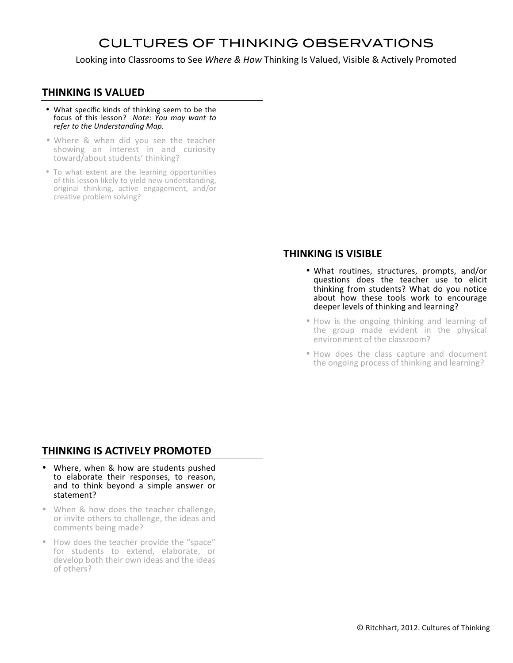## CULTURES OF THINKING OBSERVATIONS

Looking into Classrooms to See Where & How Thinking Is Valued, Visible & Actively Promoted

## **THINKING IS VALUED**

- What specific kinds of thinking seem to be the focus of this lesson? Note: You may want to refer to the Understanding Map.
- Where & when did you see the teacher showing an interest in and curiosity toward/about students' thinking?
- To what extent are the learning opportunities of this lesson likely to yield new understanding, original thinking, active engagement, and/or creative problem solving?

## **THINKING IS VISIBLE**

- What routines, structures, prompts, and/or questions does the teacher use to elicit thinking from students? What do you notice about how these tools work to encourage deeper levels of thinking and learning?
- How is the ongoing thinking and learning of the group made evident in the physical environment of the classroom?
- How does the class capture and document the ongoing process of thinking and learning?

## **THINKING IS ACTIVELY PROMOTED**

- Where, when & how are students pushed to elaborate their responses, to reason, and to think beyond a simple answer or statement?
- When & how does the teacher challenge, or invite others to challenge, the ideas and comments being made?
- How does the teacher provide the "space" for students to extend, elaborate, or develop both their own ideas and the ideas of others?